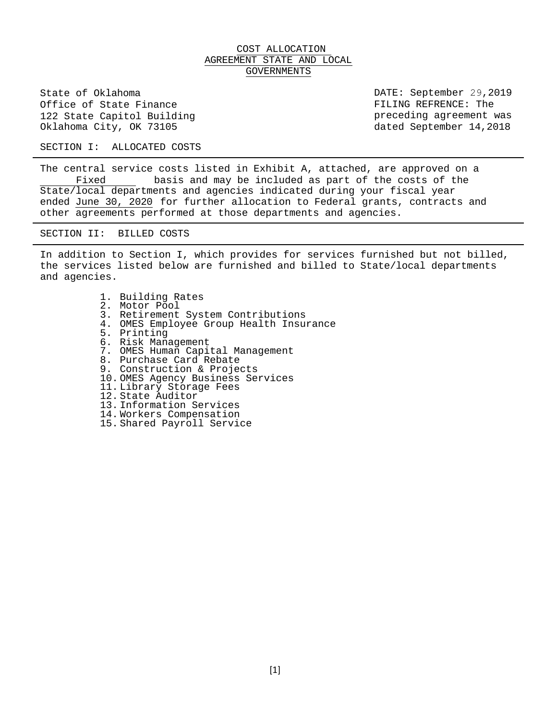# COST ALLOCATION AGREEMENT STATE AND LOCAL GOVERNMENTS

State of Oklahoma Office of State Finance 122 State Capitol Building Oklahoma City, OK 73105

DATE: September 29,2019 FILING REFRENCE: The preceding agreement was dated September 14,2018

SECTION I: ALLOCATED COSTS

The central service costs listed in Exhibit A, attached, are approved on a<br>Fixed basis and may be included as part of the costs of the basis and may be included as part of the costs of the State/local departments and agencies indicated during your fiscal year ended June 30, 2020 for further allocation to Federal grants, contracts and other agreements performed at those departments and agencies.

SECTION II: BILLED COSTS

In addition to Section I, which provides for services furnished but not billed, the services listed below are furnished and billed to State/local departments and agencies.

> 1. Building Rates 2. Motor Pool 3. Retirement System Contributions 4. OMES Employee Group Health Insurance 5. Printing 6. Risk Management 7. OMES Human Capital Management 8. Purchase Card Rebate 9. Construction & Projects 10. OMES Agency Business Services 11. Library Storage Fees 12. State Auditor 13. Information Services 14. Workers Compensation 15. Shared Payroll Service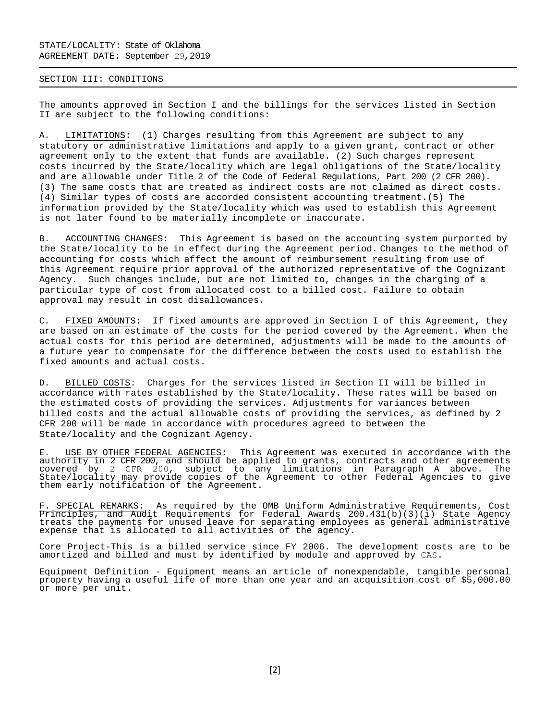### SECTION III: CONDITIONS

The amounts approved in Section I and the billings for the services listed in Section II are subject to the following conditions:

A. LIMITATIONS: (1) Charges resulting from this Agreement are subject to any statutory or administrative limitations and apply to a given grant, contract or other agreement only to the extent that funds are available. (2) Such charges represent costs incurred by the State/locality which are legal obligations of the State/locality and are allowable under Title 2 of the Code of Federal Regulations, Part 200 (2 CFR 200). (3) The same costs that are treated as indirect costs are not claimed as direct costs. (4) Similar types of costs are accorded consistent accounting treatment.(5) The information provided by the State/locality which was used to establish this Agreement is not later found to be materially incomplete or inaccurate.

B. ACCOUNTING CHANGES: This Agreement is based on the accounting system purported by the State/locality to be in effect during the Agreement period. Changes to the method of accounting for costs which affect the amount of reimbursement resulting from use of this Agreement require prior approval of the authorized representative of the Cognizant Agency. Such changes include, but are not limited to, changes in the charging of a particular type of cost from allocated cost to a billed cost. Failure to obtain approval may result in cost disallowances.

C. FIXED AMOUNTS: If fixed amounts are approved in Section I of this Agreement, they are based on an estimate of the costs for the period covered by the Agreement. When the actual costs for this period are determined, adjustments will be made to the amounts of a future year to compensate for the difference between the costs used to establish the fixed amounts and actual costs.

D. BILLED COSTS: Charges for the services listed in Section II will be billed in accordance with rates established by the State/locality. These rates will be based on the estimated costs of providing the services. Adjustments for variances between billed costs and the actual allowable costs of providing the services, as defined by 2 CFR 200 will be made in accordance with procedures agreed to between the State/locality and the Cognizant Agency.

E. USE BY OTHER FEDERAL AGENCIES: This Agreement was executed in accordance with the authority in 2 CFR 200, and should be applied to grants, contracts and other agreements covered by 2 CFR 200, subject to any limitations in Paragraph A above. The State/locality may provide copies of the Agreement to other Federal Agencies to give them early notification of the Agreement.

F. SPECIAL REMARKS: As required by the OMB Uniform Administrative Requirements, Cost Principles, and Audit Requirements for Federal Awards 200.431(b)(3)(i) State Agency treats the payments for unused leave for separating employees as general administrative expense that is allocated to all activities of the agency.

Core Project-This is a billed service since FY 2006. The development costs are to be amortized and billed and must by identified by module and approved by CAS.

Equipment Definition - Equipment means an article of nonexpendable, tangible personal property having a useful life of more than one year and an acquisition cost of \$5,000.00 or more per unit.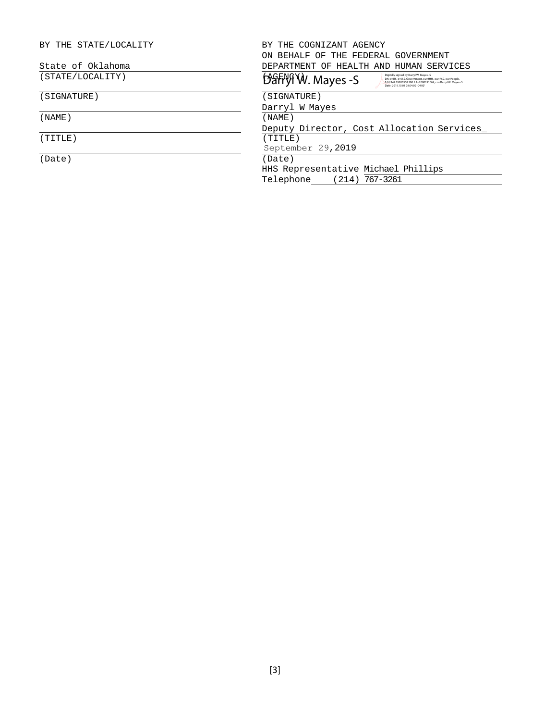| BY THE COGNIZANT AGENCY                                                                                                                                                                                                    |  |  |  |  |
|----------------------------------------------------------------------------------------------------------------------------------------------------------------------------------------------------------------------------|--|--|--|--|
| ON BEHALF OF THE FEDERAL GOVERNMENT                                                                                                                                                                                        |  |  |  |  |
| DEPARTMENT OF HEALTH AND HUMAN SERVICES                                                                                                                                                                                    |  |  |  |  |
| Digitally signed by Darryl W. Mayes -S<br>DarryTW. Mayes -S<br>DN: c=US, o=U.S. Government, ou=HHS, ou=PSC, ou=People.<br>0.9.2342.19200300.100.1.1=2000131669, cn=Darryl W. Mayes -S<br>Date: 2019.10.01 08:04:00 -04'00" |  |  |  |  |
| SIGNATURE)                                                                                                                                                                                                                 |  |  |  |  |
| Darryl W Mayes                                                                                                                                                                                                             |  |  |  |  |
| (NAME)                                                                                                                                                                                                                     |  |  |  |  |
| Deputy Director, Cost Allocation Services                                                                                                                                                                                  |  |  |  |  |
| (TITLE)                                                                                                                                                                                                                    |  |  |  |  |
| September 29,2019                                                                                                                                                                                                          |  |  |  |  |
| (Date)                                                                                                                                                                                                                     |  |  |  |  |
| HHS Representative Michael Phillips                                                                                                                                                                                        |  |  |  |  |
| $(214)$ 767-3261<br>Telephone                                                                                                                                                                                              |  |  |  |  |
|                                                                                                                                                                                                                            |  |  |  |  |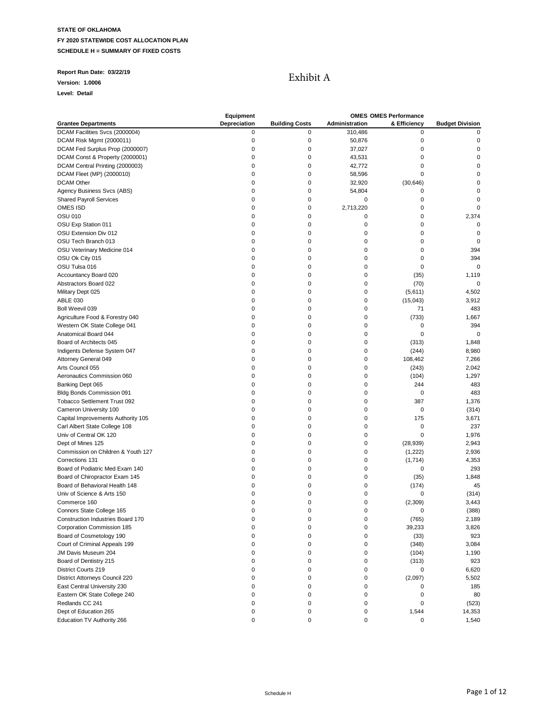### **Report Run Date: 03/22/19**

**Version: 1.0006**

**Level: Detail**

# Exhibit A

|                                     | Equipment    |                       |                | <b>OMES OMES Performance</b> |                        |
|-------------------------------------|--------------|-----------------------|----------------|------------------------------|------------------------|
| <b>Grantee Departments</b>          | Depreciation | <b>Building Costs</b> | Administration | & Efficiency                 | <b>Budget Division</b> |
| DCAM Facilities Svcs (2000004)      | 0            | 0                     | 310,486        | 0                            | $\mathbf 0$            |
| DCAM Risk Mgmt (2000011)            | $\pmb{0}$    | $\mathbf 0$           | 50,876         | 0                            | $\pmb{0}$              |
| DCAM Fed Surplus Prop (2000007)     | $\pmb{0}$    | $\mathbf 0$           | 37,027         | 0                            | $\mathbf 0$            |
| DCAM Const & Property (2000001)     | $\mathbf 0$  | $\mathbf 0$           | 43,531         | 0                            | $\pmb{0}$              |
| DCAM Central Printing (2000003)     | 0            | 0                     | 42,772         | 0                            | 0                      |
| DCAM Fleet (MP) (2000010)           | 0            | 0                     | 58,596         | 0                            | 0                      |
| <b>DCAM Other</b>                   | $\mathbf 0$  | 0                     | 32,920         | (30, 646)                    | $\mathbf 0$            |
| Agency Business Svcs (ABS)          | $\mathbf 0$  | 0                     | 54,804         | 0                            | $\mathbf 0$            |
| <b>Shared Payroll Services</b>      | $\mathbf 0$  | 0                     | 0              | 0                            | $\mathbf 0$            |
| OMES ISD                            | 0            | 0                     | 2,713,220      | 0                            | $\mathbf 0$            |
| <b>OSU 010</b>                      | 0            | 0                     | 0              | 0                            | 2,374                  |
| OSU Exp Station 011                 | 0            | 0                     | 0              | 0                            | $\mathbf 0$            |
| OSU Extension Div 012               | $\mathbf 0$  | 0                     | 0              | 0                            | 0                      |
| OSU Tech Branch 013                 | $\mathbf 0$  | 0                     | 0              | 0                            | $\mathbf 0$            |
| OSU Veterinary Medicine 014         | $\mathbf 0$  | 0                     | 0              | 0                            | 394                    |
| OSU Ok City 015                     | $\mathbf 0$  | 0                     | 0              | $\mathbf 0$                  | 394                    |
|                                     | 0            | 0                     | 0              | 0                            | 0                      |
| OSU Tulsa 016                       |              |                       |                |                              |                        |
| Accountancy Board 020               | 0            | 0                     | 0              | (35)                         | 1,119                  |
| Abstractors Board 022               | $\mathbf 0$  | 0                     | 0              | (70)                         | 0                      |
| Military Dept 025                   | $\mathbf 0$  | $\mathbf 0$           | 0              | (5,611)                      | 4,502                  |
| <b>ABLE 030</b>                     | $\mathbf 0$  | 0                     | 0              | (15, 043)                    | 3,912                  |
| Boll Weevil 039                     | $\mathbf 0$  | 0                     | 0              | 71                           | 483                    |
| Agriculture Food & Forestry 040     | 0            | 0                     | 0              | (733)                        | 1,667                  |
| Western OK State College 041        | $\mathbf 0$  | 0                     | 0              | 0                            | 394                    |
| Anatomical Board 044                | $\mathbf 0$  | 0                     | 0              | 0                            | $\mathbf 0$            |
| Board of Architects 045             | $\mathbf 0$  | 0                     | 0              | (313)                        | 1,848                  |
| Indigents Defense System 047        | $\mathbf 0$  | 0                     | 0              | (244)                        | 8,980                  |
| Attorney General 049                | $\mathbf 0$  | 0                     | 0              | 108,462                      | 7,266                  |
| Arts Council 055                    | $\mathbf 0$  | 0                     | 0              | (243)                        | 2,042                  |
| Aeronautics Commission 060          | 0            | 0                     | 0              | (104)                        | 1,297                  |
| Banking Dept 065                    | $\mathbf 0$  | 0                     | 0              | 244                          | 483                    |
| Bldg Bonds Commission 091           | $\mathbf 0$  | 0                     | 0              | 0                            | 483                    |
| <b>Tobacco Settlement Trust 092</b> | $\mathbf 0$  | $\mathbf 0$           | 0              | 387                          | 1,376                  |
| Cameron University 100              | 0            | 0                     | 0              | 0                            | (314)                  |
| Capital Improvements Authority 105  | $\mathbf 0$  | 0                     | 0              | 175                          | 3,671                  |
| Carl Albert State College 108       | 0            | 0                     | 0              | 0                            | 237                    |
| Univ of Central OK 120              | $\mathbf 0$  | 0                     | 0              | 0                            | 1,976                  |
| Dept of Mines 125                   | $\mathbf 0$  | 0                     | 0              | (28, 939)                    | 2,943                  |
| Commission on Children & Youth 127  | $\mathbf 0$  | 0                     | 0              | (1,222)                      | 2,936                  |
| Corrections 131                     | $\mathbf 0$  | 0                     | 0              | (1,714)                      | 4,353                  |
| Board of Podiatric Med Exam 140     | $\mathbf 0$  | 0                     | 0              | 0                            | 293                    |
| Board of Chiropractor Exam 145      | $\mathbf 0$  | 0                     | 0              | (35)                         | 1,848                  |
| Board of Behavioral Health 148      | 0            | 0                     | 0              | (174)                        | 45                     |
| Univ of Science & Arts 150          | $\mathbf 0$  | 0                     | 0              | 0                            | (314)                  |
| Commerce 160                        | $\mathbf 0$  | 0                     | 0              | (2, 309)                     | 3,443                  |
| Connors State College 165           | $\mathbf 0$  | 0                     | 0              | 0                            | (388)                  |
| Construction Industries Board 170   | 0            | 0                     |                | (765)                        | 2,189                  |
| Corporation Commission 185          | 0            | 0                     | 0              | 39,233                       | 3,826                  |
|                                     | 0            | 0                     | 0              |                              |                        |
| Board of Cosmetology 190            |              |                       |                | (33)                         | 923                    |
| Court of Criminal Appeals 199       | $\pmb{0}$    | 0                     | 0              | (348)                        | 3,084                  |
| JM Davis Museum 204                 | $\pmb{0}$    | $\mathbf 0$           | 0              | (104)                        | 1,190                  |
| Board of Dentistry 215              | 0            | 0                     | 0              | (313)                        | 923                    |
| District Courts 219                 | 0            | 0                     | 0              | 0                            | 6,620                  |
| District Attorneys Council 220      | 0            | 0                     | 0              | (2,097)                      | 5,502                  |
| East Central University 230         | $\mathbf 0$  | 0                     | 0              | 0                            | 185                    |
| Eastern OK State College 240        | $\pmb{0}$    | 0                     | 0              | 0                            | 80                     |
| Redlands CC 241                     | 0            | 0                     | 0              | 0                            | (523)                  |
| Dept of Education 265               | $\pmb{0}$    | 0                     | 0              | 1,544                        | 14,353                 |
| Education TV Authority 266          | $\mathbf 0$  | 0                     | 0              | 0                            | 1,540                  |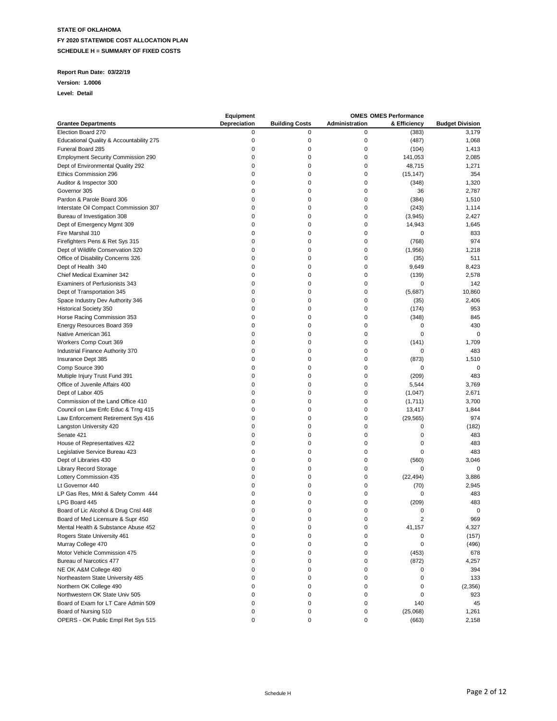### **Report Run Date: 03/22/19**

#### **Version: 1.0006**

|                                           | Equipment    |                       |                | <b>OMES OMES Performance</b> |                        |
|-------------------------------------------|--------------|-----------------------|----------------|------------------------------|------------------------|
| <b>Grantee Departments</b>                | Depreciation | <b>Building Costs</b> | Administration | & Efficiency                 | <b>Budget Division</b> |
| Election Board 270                        | 0            | 0                     | 0              | (383)                        | 3,179                  |
| Educational Quality & Accountability 275  | 0            | 0                     | 0              | (487)                        | 1,068                  |
| Funeral Board 285                         | 0            | 0                     | 0              | (104)                        | 1,413                  |
| <b>Employment Security Commission 290</b> | 0            | 0                     | 0              | 141,053                      | 2,085                  |
| Dept of Environmental Quality 292         | $\mathbf 0$  | 0                     | 0              | 48,715                       | 1,271                  |
| Ethics Commission 296                     | 0            | 0                     | 0              | (15, 147)                    | 354                    |
| Auditor & Inspector 300                   | $\mathbf 0$  | 0                     | 0              | (348)                        | 1,320                  |
| Governor 305                              | 0            | 0                     | 0              | 36                           | 2,787                  |
| Pardon & Parole Board 306                 | 0            | 0                     | 0              | (384)                        | 1,510                  |
| Interstate Oil Compact Commission 307     | 0            | 0                     | 0              | (243)                        | 1,114                  |
| Bureau of Investigation 308               | $\mathbf 0$  | 0                     | 0              | (3, 945)                     | 2,427                  |
| Dept of Emergency Mgmt 309                | $\mathbf 0$  | 0                     | 0              | 14,943                       | 1,645                  |
| Fire Marshal 310                          | $\mathbf 0$  | 0                     | 0              | 0                            | 833                    |
| Firefighters Pens & Ret Sys 315           | 0            | 0                     | 0              | (768)                        | 974                    |
| Dept of Wildlife Conservation 320         | 0            | 0                     | 0              | (1,956)                      | 1,218                  |
| Office of Disability Concerns 326         | 0            | 0                     | 0              | (35)                         | 511                    |
| Dept of Health 340                        | 0            | 0                     | 0              | 9,649                        | 8,423                  |
| Chief Medical Examiner 342                | 0            | 0                     | 0              | (139)                        | 2,578                  |
| Examiners of Perfusionists 343            | $\mathbf 0$  | 0                     | 0              | 0                            | 142                    |
|                                           |              |                       |                |                              | 10.860                 |
| Dept of Transportation 345                | 0            | 0                     | 0              | (5,687)                      |                        |
| Space Industry Dev Authority 346          | 0            | 0                     | 0              | (35)                         | 2,406                  |
| <b>Historical Society 350</b>             | 0            | 0                     | 0              | (174)                        | 953                    |
| Horse Racing Commission 353               | 0            | 0                     | 0              | (348)                        | 845                    |
| Energy Resources Board 359                | 0            | 0                     | 0              | 0                            | 430                    |
| Native American 361                       | 0            | 0                     | 0              | 0                            | $\mathbf 0$            |
| Workers Comp Court 369                    | $\mathbf 0$  | 0                     | 0              | (141)                        | 1,709                  |
| Industrial Finance Authority 370          | 0            | 0                     | 0              | 0                            | 483                    |
| Insurance Dept 385                        | 0            | 0                     | 0              | (873)                        | 1,510                  |
| Comp Source 390                           | 0            | 0                     | 0              | 0                            | $\mathbf 0$            |
| Multiple Injury Trust Fund 391            | $\mathbf 0$  | 0                     | 0              | (209)                        | 483                    |
| Office of Juvenile Affairs 400            | $\mathbf 0$  | 0                     | 0              | 5,544                        | 3,769                  |
| Dept of Labor 405                         | $\mathbf 0$  | 0                     | 0              | (1,047)                      | 2,671                  |
| Commission of the Land Office 410         | 0            | 0                     | 0              | (1,711)                      | 3,700                  |
| Council on Law Enfc Educ & Trng 415       | 0            | 0                     | 0              | 13,417                       | 1,844                  |
| Law Enforcement Retirement Sys 416        | 0            | 0                     | 0              | (29, 565)                    | 974                    |
| Langston University 420                   | $\mathbf 0$  | 0                     | 0              | 0                            | (182)                  |
| Senate 421                                | 0            | 0                     | 0              | 0                            | 483                    |
| House of Representatives 422              | $\mathbf 0$  | 0                     | 0              | $\mathbf 0$                  | 483                    |
| Legislative Service Bureau 423            | $\mathbf 0$  | 0                     | 0              | 0                            | 483                    |
| Dept of Libraries 430                     | 0            | 0                     | 0              | (560)                        | 3,046                  |
| <b>Library Record Storage</b>             | 0            | 0                     | 0              | 0                            | 0                      |
| Lottery Commission 435                    | 0            | 0                     | 0              | (22, 494)                    | 3,886                  |
| Lt Governor 440                           | 0            | 0                     | 0              | (70)                         | 2,945                  |
| LP Gas Res, Mrkt & Safety Comm 444        | 0            | 0                     | 0              | 0                            | 483                    |
| LPG Board 445                             | 0            | 0                     | 0              | (209)                        | 483                    |
| Board of Lic Alcohol & Drug Cnsl 448      | $\mathbf 0$  | 0                     | 0              | 0                            | 0                      |
| Board of Med Licensure & Supr 450         | 0            | $\Omega$              |                | $\overline{c}$               | 969                    |
| Mental Health & Substance Abuse 452       | 0            | 0                     | 0              | 41,157                       | 4,327                  |
| Rogers State University 461               | 0            | 0                     | 0              | 0                            | (157)                  |
| Murray College 470                        | 0            | 0                     | 0              | 0                            | (496)                  |
| Motor Vehicle Commission 475              | 0            | 0                     | 0              | (453)                        | 678                    |
| Bureau of Narcotics 477                   | 0            | 0                     | 0              | (872)                        | 4,257                  |
| NE OK A&M College 480                     | 0            | 0                     | 0              | 0                            | 394                    |
| Northeastern State University 485         | 0            | 0                     | 0              | 0                            | 133                    |
| Northern OK College 490                   | 0            | 0                     | 0              | 0                            | (2,356)                |
| Northwestern OK State Univ 505            | 0            | 0                     | 0              | 0                            | 923                    |
| Board of Exam for LT Care Admin 509       | 0            | 0                     | 0              | 140                          | 45                     |
| Board of Nursing 510                      | 0            | 0                     | 0              | (25,068)                     | 1,261                  |
| OPERS - OK Public Empl Ret Sys 515        | 0            | 0                     | 0              |                              | 2,158                  |
|                                           |              |                       |                | (663)                        |                        |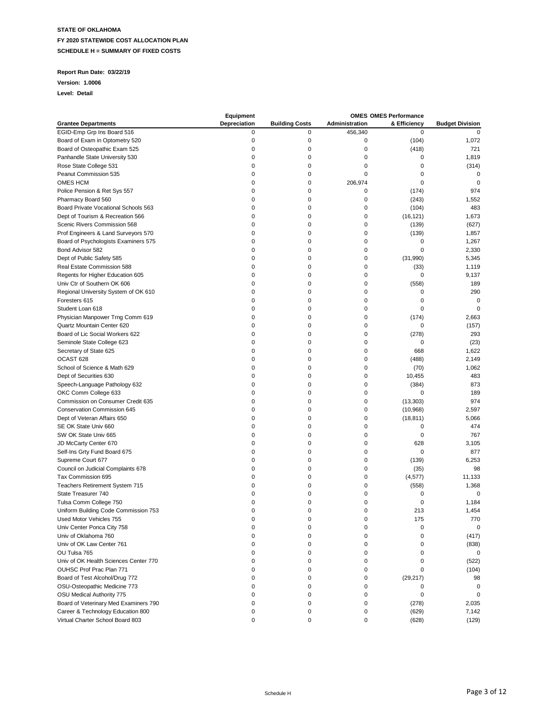### **Report Run Date: 03/22/19**

#### **Version: 1.0006**

|                                                          | Equipment    |                       |                | <b>OMES OMES Performance</b> |                        |
|----------------------------------------------------------|--------------|-----------------------|----------------|------------------------------|------------------------|
| <b>Grantee Departments</b>                               | Depreciation | <b>Building Costs</b> | Administration | & Efficiency                 | <b>Budget Division</b> |
| EGID-Emp Grp Ins Board 516                               | 0            | 0                     | 456,340        | 0                            | $\mathbf 0$            |
| Board of Exam in Optometry 520                           | $\pmb{0}$    | 0                     | 0              | (104)                        | 1,072                  |
| Board of Osteopathic Exam 525                            | 0            | 0                     | 0              | (418)                        | 721                    |
| Panhandle State University 530                           | $\mathbf 0$  | 0                     | 0              | 0                            | 1,819                  |
| Rose State College 531                                   | 0            | 0                     | $\mathbf 0$    | $\mathbf 0$                  | (314)                  |
| Peanut Commission 535                                    | 0            | 0                     | $\mathbf 0$    | $\mathbf 0$                  | 0                      |
| OMES HCM                                                 | 0            | 0                     | 206,974        | $\mathbf 0$                  | $\mathbf 0$            |
| Police Pension & Ret Sys 557                             | 0            | 0                     | 0              | (174)                        | 974                    |
| Pharmacy Board 560                                       | 0            | 0                     | 0              | (243)                        | 1,552                  |
| Board Private Vocational Schools 563                     | 0            | 0                     | 0              | (104)                        | 483                    |
| Dept of Tourism & Recreation 566                         | $\mathbf 0$  | 0                     | $\mathbf 0$    | (16, 121)                    | 1,673                  |
| Scenic Rivers Commission 568                             | 0            | 0                     | $\mathbf 0$    | (139)                        | (627)                  |
| Prof Engineers & Land Surveyors 570                      | 0            | 0                     | 0              | (139)                        | 1,857                  |
|                                                          | 0            | 0                     | 0              | 0                            | 1,267                  |
| Board of Psychologists Examiners 575<br>Bond Advisor 582 | 0            | 0                     | 0              | 0                            | 2,330                  |
|                                                          | 0            | 0                     | 0              | (31,990)                     |                        |
| Dept of Public Safety 585                                |              | 0                     |                |                              | 5,345                  |
| Real Estate Commission 588                               | 0            |                       | $\mathbf 0$    | (33)                         | 1,119                  |
| Regents for Higher Education 605                         | $\mathbf 0$  | 0                     | $\mathbf 0$    | 0                            | 9,137                  |
| Univ Ctr of Southern OK 606                              | 0            | 0                     | 0              | (558)                        | 189                    |
| Regional University System of OK 610                     | 0            | 0                     | 0              | 0                            | 290                    |
| Foresters 615                                            | 0            | 0                     | 0              | 0                            | 0                      |
| Student Loan 618                                         | $\mathbf 0$  | 0                     | 0              | 0                            | $\mathbf 0$            |
| Physician Manpower Trng Comm 619                         | 0            | 0                     | 0              | (174)                        | 2,663                  |
| Quartz Mountain Center 620                               | 0            | 0                     | $\mathbf 0$    | 0                            | (157)                  |
| Board of Lic Social Workers 622                          | 0            | 0                     | 0              | (278)                        | 293                    |
| Seminole State College 623                               | 0            | 0                     | 0              | 0                            | (23)                   |
| Secretary of State 625                                   | 0            | 0                     | 0              | 668                          | 1,622                  |
| OCAST <sub>628</sub>                                     | $\mathbf 0$  | 0                     | 0              | (488)                        | 2,149                  |
| School of Science & Math 629                             | 0            | 0                     | 0              | (70)                         | 1,062                  |
| Dept of Securities 630                                   | $\mathbf 0$  | 0                     | $\mathbf 0$    | 10,455                       | 483                    |
| Speech-Language Pathology 632                            | 0            | 0                     | 0              | (384)                        | 873                    |
| OKC Comm College 633                                     | 0            | 0                     | 0              | 0                            | 189                    |
| Commission on Consumer Credit 635                        | 0            | 0                     | 0              | (13, 303)                    | 974                    |
| Conservation Commission 645                              | $\mathbf 0$  | 0                     | 0              | (10, 968)                    | 2,597                  |
| Dept of Veteran Affairs 650                              | $\mathbf 0$  | 0                     | 0              | (18, 811)                    | 5,066                  |
| SE OK State Univ 660                                     | 0            | 0                     | $\mathbf 0$    | 0                            | 474                    |
| SW OK State Univ 665                                     | 0            | 0                     | 0              | 0                            | 767                    |
| JD McCarty Center 670                                    | 0            | 0                     | 0              | 628                          | 3,105                  |
| Self-Ins Grty Fund Board 675                             | 0            | 0                     | 0              | 0                            | 877                    |
| Supreme Court 677                                        | $\mathbf 0$  | 0                     | 0              | (139)                        | 6,253                  |
| Council on Judicial Complaints 678                       | $\mathbf 0$  | 0                     | 0              | (35)                         | 98                     |
| Tax Commission 695                                       | 0            | 0                     | 0              | (4, 577)                     | 11,133                 |
| Teachers Retirement System 715                           | $\mathbf 0$  | 0                     | $\mathbf 0$    | (558)                        | 1,368                  |
| State Treasurer 740                                      | 0            | 0                     | 0              | 0                            | 0                      |
|                                                          |              |                       |                |                              |                        |
| Tulsa Comm College 750                                   | 0            | 0                     | 0              | 0                            | 1,184                  |
| Uniform Building Code Commission 753                     | 0            | 0                     | 0<br>$\Omega$  | 213                          | 1,454                  |
| Used Motor Vehicles 755                                  | $\Omega$     | 0                     |                | 175                          | 770                    |
| Univ Center Ponca City 758                               | 0            | 0                     | 0              | 0                            | 0                      |
| Univ of Oklahoma 760                                     | 0            | 0                     | $\mathbf 0$    | 0                            | (417)                  |
| Univ of OK Law Center 761                                | 0            | 0                     | 0              | 0                            | (838)                  |
| OU Tulsa 765                                             | 0            | 0                     | 0              | 0                            | 0                      |
| Univ of OK Health Sciences Center 770                    | 0            | 0                     | 0              | 0                            | (522)                  |
| OUHSC Prof Prac Plan 771                                 | 0            | 0                     | 0              | 0                            | (104)                  |
| Board of Test Alcohol/Drug 772                           | 0            | 0                     | 0              | (29, 217)                    | 98                     |
| OSU-Osteopathic Medicine 773                             | 0            | 0                     | 0              | 0                            | $\mathbf 0$            |
| OSU Medical Authority 775                                | 0            | 0                     | 0              | 0                            | 0                      |
| Board of Veterinary Med Examiners 790                    | 0            | 0                     | 0              | (278)                        | 2,035                  |
| Career & Technology Education 800                        | 0            | 0                     | 0              | (629)                        | 7,142                  |
| Virtual Charter School Board 803                         | 0            | 0                     | 0              | (628)                        | (129)                  |
|                                                          |              |                       |                |                              |                        |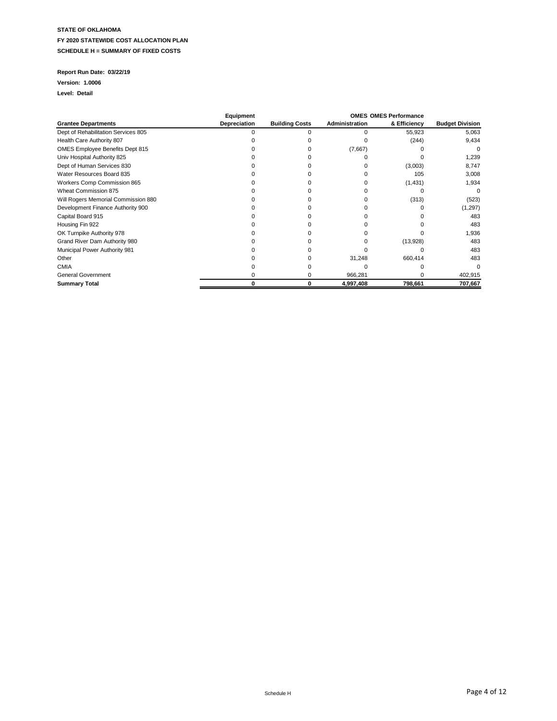### **Report Run Date: 03/22/19**

#### **Version: 1.0006**

|                                     | Equipment    |                       |                | <b>OMES OMES Performance</b> |                        |
|-------------------------------------|--------------|-----------------------|----------------|------------------------------|------------------------|
| <b>Grantee Departments</b>          | Depreciation | <b>Building Costs</b> | Administration | & Efficiency                 | <b>Budget Division</b> |
| Dept of Rehabilitation Services 805 |              |                       |                | 55,923                       | 5,063                  |
| Health Care Authority 807           |              |                       |                | (244)                        | 9,434                  |
| OMES Employee Benefits Dept 815     |              |                       | (7,667)        |                              |                        |
| Univ Hospital Authority 825         |              |                       |                |                              | 1,239                  |
| Dept of Human Services 830          |              |                       |                | (3,003)                      | 8,747                  |
| Water Resources Board 835           |              |                       |                | 105                          | 3,008                  |
| Workers Comp Commission 865         |              |                       |                | (1,431)                      | 1,934                  |
| Wheat Commission 875                |              |                       |                |                              | O                      |
| Will Rogers Memorial Commission 880 |              |                       |                | (313)                        | (523)                  |
| Development Finance Authority 900   |              |                       |                |                              | (1,297)                |
| Capital Board 915                   |              |                       |                |                              | 483                    |
| Housing Fin 922                     |              |                       |                |                              | 483                    |
| OK Turnpike Authority 978           |              |                       |                |                              | 1,936                  |
| Grand River Dam Authority 980       |              |                       |                | (13,928)                     | 483                    |
| Municipal Power Authority 981       |              |                       |                |                              | 483                    |
| Other                               |              |                       | 31,248         | 660,414                      | 483                    |
| <b>CMIA</b>                         |              |                       |                |                              |                        |
| <b>General Government</b>           |              |                       | 966,281        |                              | 402,915                |
| <b>Summary Total</b>                |              | 0                     | 4,997,408      | 798,661                      | 707,667                |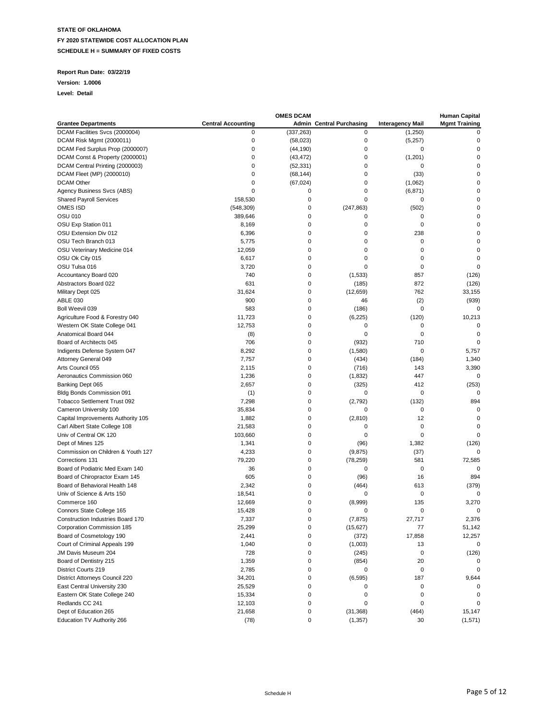### **Report Run Date: 03/22/19**

#### **Version: 1.0006**

|                                     |                           | <b>OMES DCAM</b> |                                 |                         | <b>Human Capital</b> |
|-------------------------------------|---------------------------|------------------|---------------------------------|-------------------------|----------------------|
| <b>Grantee Departments</b>          | <b>Central Accounting</b> |                  | <b>Admin Central Purchasing</b> | <b>Interagency Mail</b> | <b>Mgmt Training</b> |
| DCAM Facilities Svcs (2000004)      | 0                         | (337, 263)       | 0                               | (1,250)                 | 0                    |
| DCAM Risk Mgmt (2000011)            | $\mathbf 0$               | (58,023)         | 0                               | (5,257)                 | $\mathbf 0$          |
| DCAM Fed Surplus Prop (2000007)     | $\mathbf 0$               | (44, 190)        | 0                               | 0                       | $\mathbf 0$          |
| DCAM Const & Property (2000001)     | $\mathbf 0$               | (43, 472)        | 0                               | (1,201)                 | $\mathbf 0$          |
| DCAM Central Printing (2000003)     | 0                         | (52, 331)        | 0                               | 0                       | 0                    |
| DCAM Fleet (MP) (2000010)           | $\mathbf 0$               | (68, 144)        | $\mathbf 0$                     | (33)                    | 0                    |
| <b>DCAM Other</b>                   | $\mathbf 0$               | (67, 024)        | $\mathbf 0$                     | (1,062)                 | $\pmb{0}$            |
| Agency Business Svcs (ABS)          | $\mathbf 0$               | 0                | $\mathbf 0$                     | (6, 871)                | $\mathbf 0$          |
| <b>Shared Payroll Services</b>      | 158,530                   | 0                | $\mathbf 0$                     | 0                       | $\mathbf 0$          |
| OMES ISD                            | (548, 309)                | 0                | (247, 863)                      | (502)                   | $\mathbf 0$          |
| OSU 010                             | 389,646                   | 0                | 0                               | 0                       | $\mathbf 0$          |
| OSU Exp Station 011                 | 8,169                     | 0                | 0                               | 0                       | 0                    |
| OSU Extension Div 012               | 6,396                     | 0                | $\mathbf 0$                     | 238                     | $\mathbf 0$          |
| OSU Tech Branch 013                 | 5,775                     | 0                | 0                               | 0                       | $\mathbf 0$          |
| OSU Veterinary Medicine 014         | 12,059                    | 0                | 0                               | 0                       | $\mathbf 0$          |
| OSU Ok City 015                     | 6,617                     | 0                | 0                               | 0                       | $\mathbf 0$          |
| OSU Tulsa 016                       | 3,720                     | 0                | 0                               | 0                       | $\mathbf 0$          |
| Accountancy Board 020               | 740                       | 0                | (1,533)                         | 857                     | (126)                |
| Abstractors Board 022               | 631                       | 0                | (185)                           | 872                     | (126)                |
| Military Dept 025                   | 31,624                    | 0                | (12, 659)                       | 762                     | 33,155               |
| <b>ABLE 030</b>                     | 900                       | 0                | 46                              | (2)                     | (939)                |
| Boll Weevil 039                     | 583                       | 0                |                                 | 0                       | 0                    |
| Agriculture Food & Forestry 040     | 11,723                    | 0                | (186)                           | (120)                   | 10,213               |
| Western OK State College 041        |                           |                  | (6, 225)                        |                         |                      |
|                                     | 12,753                    | 0                | 0                               | 0                       | 0                    |
| Anatomical Board 044                | (8)                       | 0                | 0                               | 0                       | $\mathbf 0$          |
| Board of Architects 045             | 706                       | 0                | (932)                           | 710                     | $\mathbf 0$          |
| Indigents Defense System 047        | 8,292                     | 0                | (1,580)                         | 0                       | 5,757                |
| Attorney General 049                | 7,757                     | 0                | (434)                           | (184)                   | 1,340                |
| Arts Council 055                    | 2,115                     | 0                | (716)                           | 143                     | 3,390                |
| Aeronautics Commission 060          | 1,236                     | 0                | (1,832)                         | 447                     | 0                    |
| Banking Dept 065                    | 2,657                     | 0                | (325)                           | 412                     | (253)                |
| Bldg Bonds Commission 091           | (1)                       | 0                | 0                               | 0                       | 0                    |
| <b>Tobacco Settlement Trust 092</b> | 7,298                     | 0                | (2,792)                         | (132)                   | 894                  |
| Cameron University 100              | 35,834                    | 0                | 0                               | 0                       | $\mathbf 0$          |
| Capital Improvements Authority 105  | 1,882                     | 0                | (2, 810)                        | 12                      | $\mathbf 0$          |
| Carl Albert State College 108       | 21,583                    | 0                | 0                               | 0                       | $\mathbf 0$          |
| Univ of Central OK 120              | 103,660                   | 0                | 0                               | 0                       | $\Omega$             |
| Dept of Mines 125                   | 1,341                     | 0                | (96)                            | 1,382                   | (126)                |
| Commission on Children & Youth 127  | 4,233                     | 0                | (9,875)                         | (37)                    | 0                    |
| Corrections 131                     | 79,220                    | 0                | (78, 259)                       | 581                     | 72,585               |
| Board of Podiatric Med Exam 140     | 36                        | 0                | 0                               | 0                       | 0                    |
| Board of Chiropractor Exam 145      | 605                       | 0                | (96)                            | 16                      | 894                  |
| Board of Behavioral Health 148      | 2,342                     | 0                | (464)                           | 613                     | (379)                |
| Univ of Science & Arts 150          | 18,541                    | 0                | 0                               | 0                       | $\mathbf 0$          |
| Commerce 160                        | 12,669                    | 0                | (8,999)                         | 135                     | 3,270                |
| Connors State College 165           | 15,428                    | 0                | 0                               | 0                       | 0                    |
| Construction Industries Board 170   | 7,337                     | 0                | (7, 875)                        | 27,717                  | 2,376                |
| Corporation Commission 185          | 25,299                    | 0                | (15, 627)                       | 77                      | 51,142               |
| Board of Cosmetology 190            | 2,441                     | 0                | (372)                           | 17,858                  | 12,257               |
| Court of Criminal Appeals 199       | 1,040                     | 0                | (1,003)                         | 13                      | 0                    |
| JM Davis Museum 204                 | 728                       | 0                | (245)                           | 0                       | (126)                |
| Board of Dentistry 215              | 1,359                     | 0                | (854)                           | 20                      | $\Omega$             |
| District Courts 219                 | 2,785                     | 0                | 0                               | 0                       | 0                    |
| District Attorneys Council 220      | 34,201                    | 0                | (6, 595)                        | 187                     | 9,644                |
| East Central University 230         | 25,529                    | 0                | 0                               | 0                       | 0                    |
| Eastern OK State College 240        | 15,334                    | 0                | 0                               | 0                       | 0                    |
| Redlands CC 241                     | 12,103                    | 0                | 0                               | 0                       |                      |
| Dept of Education 265               | 21,658                    | 0                | (31, 368)                       | (464)                   | 15,147               |
| Education TV Authority 266          | (78)                      | 0                | (1, 357)                        | 30                      | (1,571)              |
|                                     |                           |                  |                                 |                         |                      |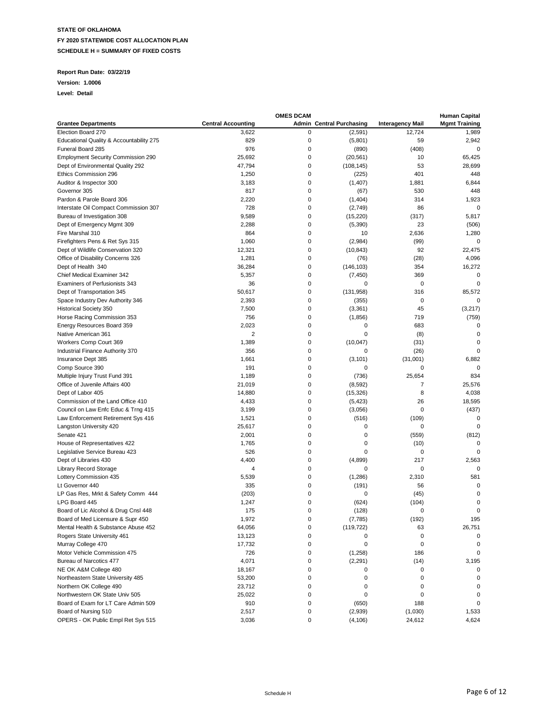### **Report Run Date: 03/22/19**

#### **Version: 1.0006**

|                                           |                           | <b>OMES DCAM</b> |                                 |                         | <b>Human Capital</b> |
|-------------------------------------------|---------------------------|------------------|---------------------------------|-------------------------|----------------------|
| <b>Grantee Departments</b>                | <b>Central Accounting</b> |                  | <b>Admin Central Purchasing</b> | <b>Interagency Mail</b> | <b>Mgmt Training</b> |
| Election Board 270                        | 3,622                     | 0                | (2,591)                         | 12,724                  | 1,989                |
| Educational Quality & Accountability 275  | 829                       | 0                | (5,801)                         | 59                      | 2,942                |
| Funeral Board 285                         | 976                       | 0                | (890)                           | (408)                   | $\mathbf 0$          |
| <b>Employment Security Commission 290</b> | 25,692                    | 0                | (20, 561)                       | 10                      | 65,425               |
| Dept of Environmental Quality 292         | 47,794                    | 0                | (108, 145)                      | 53                      | 28,699               |
|                                           |                           | 0                |                                 | 401                     |                      |
| Ethics Commission 296                     | 1,250                     |                  | (225)                           |                         | 448                  |
| Auditor & Inspector 300                   | 3,183                     | 0                | (1,407)                         | 1,881                   | 6,844                |
| Governor 305                              | 817                       | 0                | (67)                            | 530                     | 448                  |
| Pardon & Parole Board 306                 | 2,220                     | 0                | (1, 404)                        | 314                     | 1,923                |
| Interstate Oil Compact Commission 307     | 728                       | 0                | (2,749)                         | 86                      | $\mathbf 0$          |
| Bureau of Investigation 308               | 9,589                     | 0                | (15, 220)                       | (317)                   | 5,817                |
| Dept of Emergency Mgmt 309                | 2,288                     | 0                | (5,390)                         | 23                      | (506)                |
| Fire Marshal 310                          | 864                       | 0                | 10                              | 2,636                   | 1,280                |
| Firefighters Pens & Ret Sys 315           | 1,060                     | 0                | (2,984)                         | (99)                    | $\mathbf 0$          |
| Dept of Wildlife Conservation 320         | 12,321                    | 0                | (10, 843)                       | 92                      | 22,475               |
| Office of Disability Concerns 326         | 1,281                     | 0                | (76)                            | (28)                    | 4,096                |
| Dept of Health 340                        | 36,284                    | 0                | (146, 103)                      | 354                     | 16,272               |
| Chief Medical Examiner 342                | 5,357                     | 0                | (7, 450)                        | 369                     | $\mathbf 0$          |
| Examiners of Perfusionists 343            | 36                        | 0                | 0                               | $\mathbf 0$             | $\mathbf 0$          |
|                                           |                           |                  |                                 |                         |                      |
| Dept of Transportation 345                | 50,617                    | 0                | (131, 958)                      | 316                     | 85,572               |
| Space Industry Dev Authority 346          | 2,393                     | 0                | (355)                           | $\mathbf 0$             | 0                    |
| <b>Historical Society 350</b>             | 7,500                     | 0                | (3, 361)                        | 45                      | (3,217)              |
| Horse Racing Commission 353               | 756                       | 0                | (1, 856)                        | 719                     | (759)                |
| Energy Resources Board 359                | 2,023                     | 0                | 0                               | 683                     | $\mathbf 0$          |
| Native American 361                       | $\overline{2}$            | 0                | 0                               | (8)                     | $\mathbf 0$          |
| Workers Comp Court 369                    | 1,389                     | 0                | (10, 047)                       | (31)                    | $\mathbf 0$          |
| Industrial Finance Authority 370          | 356                       | 0                | 0                               | (26)                    | $\Omega$             |
| Insurance Dept 385                        | 1,661                     | 0                | (3, 101)                        | (31,001)                | 6,882                |
| Comp Source 390                           | 191                       | 0                | 0                               | 0                       | $\Omega$             |
| Multiple Injury Trust Fund 391            | 1,189                     | 0                | (736)                           | 25,654                  | 834                  |
| Office of Juvenile Affairs 400            | 21,019                    | 0                | (8,592)                         | $\overline{7}$          | 25,576               |
| Dept of Labor 405                         | 14,880                    | 0                | (15, 326)                       | 8                       | 4,038                |
| Commission of the Land Office 410         | 4,433                     | 0                | (5, 423)                        | 26                      | 18,595               |
| Council on Law Enfc Educ & Trng 415       | 3,199                     | 0                | (3,056)                         | 0                       | (437)                |
|                                           | 1,521                     | 0                | (516)                           | (109)                   | $\mathbf 0$          |
| Law Enforcement Retirement Sys 416        |                           |                  |                                 |                         |                      |
| Langston University 420                   | 25,617                    | 0                | 0                               | 0                       | $\mathbf 0$          |
| Senate 421                                | 2,001                     | 0                | 0                               | (559)                   | (812)                |
| House of Representatives 422              | 1,765                     | 0                | 0                               | (10)                    | 0                    |
| Legislative Service Bureau 423            | 526                       | 0                | $\mathbf 0$                     | 0                       | $\Omega$             |
| Dept of Libraries 430                     | 4,400                     | 0                | (4,899)                         | 217                     | 2,563                |
| <b>Library Record Storage</b>             | 4                         | 0                | 0                               | 0                       | $\Omega$             |
| Lottery Commission 435                    | 5,539                     | 0                | (1,286)                         | 2,310                   | 581                  |
| Lt Governor 440                           | 335                       | 0                | (191)                           | 56                      | $\mathbf 0$          |
| LP Gas Res, Mrkt & Safety Comm 444        | (203)                     | 0                | 0                               | (45)                    | $\mathbf 0$          |
| LPG Board 445                             | 1,247                     | 0                | (624)                           | (104)                   | $\mathbf 0$          |
| Board of Lic Alcohol & Drug Cnsl 448      | 175                       | 0                | (128)                           | $\mathbf 0$             | $\mathbf 0$          |
| Board of Med Licensure & Supr 450         | 1,972                     | $\Omega$         | (7, 785)                        | (192)                   | 195                  |
| Mental Health & Substance Abuse 452       | 64,056                    | 0                | (119, 722)                      | 63                      | 26,751               |
| Rogers State University 461               | 13,123                    | 0                | 0                               | 0                       | 0                    |
| Murray College 470                        | 17,732                    | 0                | 0                               | 0                       | 0                    |
|                                           |                           | 0                |                                 |                         |                      |
| Motor Vehicle Commission 475              | 726                       |                  | (1,258)                         | 186                     | 0                    |
| Bureau of Narcotics 477                   | 4,071                     | 0                | (2, 291)                        | (14)                    | 3,195                |
| NE OK A&M College 480                     | 18,167                    | 0                | 0                               | 0                       | 0                    |
| Northeastern State University 485         | 53,200                    | 0                | 0                               | 0                       | 0                    |
| Northern OK College 490                   | 23,712                    | 0                | 0                               | 0                       | 0                    |
| Northwestern OK State Univ 505            | 25,022                    | 0                | 0                               | 0                       | 0                    |
| Board of Exam for LT Care Admin 509       | 910                       | 0                | (650)                           | 188                     | $\Omega$             |
| Board of Nursing 510                      | 2,517                     | 0                | (2,939)                         | (1,030)                 | 1,533                |
| OPERS - OK Public Empl Ret Sys 515        | 3,036                     | 0                | (4, 106)                        | 24,612                  | 4,624                |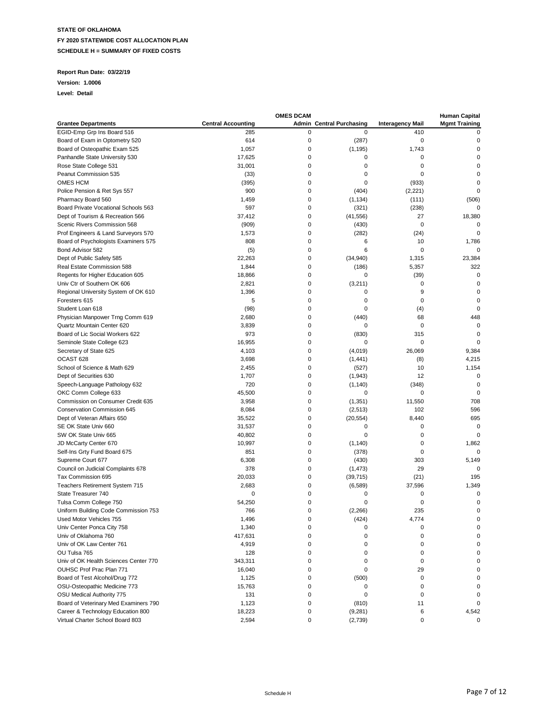### **Report Run Date: 03/22/19**

#### **Version: 1.0006**

|                                       |                           | <b>OMES DCAM</b> |                                 |                         | <b>Human Capital</b> |
|---------------------------------------|---------------------------|------------------|---------------------------------|-------------------------|----------------------|
| <b>Grantee Departments</b>            | <b>Central Accounting</b> |                  | <b>Admin Central Purchasing</b> | <b>Interagency Mail</b> | <b>Mgmt Training</b> |
| EGID-Emp Grp Ins Board 516            | 285                       | 0                | $\mathbf 0$                     | 410                     | 0                    |
| Board of Exam in Optometry 520        | 614                       | 0                | (287)                           | 0                       | 0                    |
| Board of Osteopathic Exam 525         | 1,057                     | 0                | (1, 195)                        | 1,743                   | 0                    |
| Panhandle State University 530        | 17,625                    | 0                | 0                               | 0                       | 0                    |
| Rose State College 531                | 31,001                    | 0                | 0                               | 0                       | 0                    |
| Peanut Commission 535                 | (33)                      | 0                | 0                               | 0                       | $\Omega$             |
| OMES HCM                              | (395)                     | 0                | 0                               | (933)                   | 0                    |
| Police Pension & Ret Sys 557          | 900                       | 0                | (404)                           | (2,221)                 | 0                    |
| Pharmacy Board 560                    | 1,459                     | 0                | (1, 134)                        | (111)                   | (506)                |
| Board Private Vocational Schools 563  | 597                       | 0                | (321)                           | (238)                   | $\mathbf 0$          |
| Dept of Tourism & Recreation 566      | 37,412                    | 0                | (41, 556)                       | 27                      | 18,380               |
| Scenic Rivers Commission 568          | (909)                     | 0                | (430)                           | 0                       | 0                    |
| Prof Engineers & Land Surveyors 570   | 1,573                     | 0                | (282)                           | (24)                    | $\mathbf 0$          |
|                                       | 808                       | 0                | 6                               | 10                      |                      |
| Board of Psychologists Examiners 575  |                           | 0                | 6                               | 0                       | 1,786<br>0           |
| Bond Advisor 582                      | (5)                       |                  |                                 |                         |                      |
| Dept of Public Safety 585             | 22,263                    | 0                | (34,940)                        | 1,315                   | 23,384               |
| Real Estate Commission 588            | 1,844                     | 0                | (186)                           | 5,357                   | 322                  |
| Regents for Higher Education 605      | 18,866                    | 0                | 0                               | (39)                    | 0                    |
| Univ Ctr of Southern OK 606           | 2,821                     | 0                | (3,211)                         | $\mathbf 0$             | $\mathbf 0$          |
| Regional University System of OK 610  | 1,396                     | 0                | 0                               | 9                       | 0                    |
| Foresters 615                         | 5                         | 0                | 0                               | $\mathbf 0$             | 0                    |
| Student Loan 618                      | (98)                      | 0                | $\mathbf 0$                     | (4)                     | $\mathbf 0$          |
| Physician Manpower Trng Comm 619      | 2,680                     | 0                | (440)                           | 68                      | 448                  |
| Quartz Mountain Center 620            | 3,839                     | 0                | 0                               | 0                       | $\mathbf 0$          |
| Board of Lic Social Workers 622       | 973                       | 0                | (830)                           | 315                     | $\mathbf 0$          |
| Seminole State College 623            | 16,955                    | 0                | 0                               | 0                       | $\Omega$             |
| Secretary of State 625                | 4,103                     | 0                | (4,019)                         | 26.069                  | 9,384                |
| OCAST 628                             | 3,698                     | 0                | (1, 441)                        | (8)                     | 4,215                |
| School of Science & Math 629          | 2,455                     | 0                | (527)                           | 10                      | 1,154                |
| Dept of Securities 630                | 1,707                     | 0                | (1,943)                         | 12                      | $\mathbf 0$          |
| Speech-Language Pathology 632         | 720                       | 0                | (1, 140)                        | (348)                   | 0                    |
| OKC Comm College 633                  | 45,500                    | 0                | 0                               | $\mathbf 0$             | $\mathbf 0$          |
| Commission on Consumer Credit 635     | 3,958                     | 0                | (1, 351)                        | 11,550                  | 708                  |
| Conservation Commission 645           | 8,084                     | 0                | (2, 513)                        | 102                     | 596                  |
| Dept of Veteran Affairs 650           | 35,522                    | 0                | (20, 554)                       | 8,440                   | 695                  |
| SE OK State Univ 660                  | 31,537                    | 0                | 0                               | $\mathbf 0$             | $\mathbf 0$          |
| SW OK State Univ 665                  | 40,802                    | 0                | 0                               | 0                       | $\Omega$             |
| JD McCarty Center 670                 | 10,997                    | 0                | (1, 140)                        | 0                       | 1,862                |
| Self-Ins Grty Fund Board 675          | 851                       | 0                | (378)                           | $\mathbf 0$             | $\mathbf 0$          |
| Supreme Court 677                     | 6,308                     | 0                |                                 | 303                     |                      |
|                                       | 378                       | 0                | (430)                           | 29                      | 5,149<br>0           |
| Council on Judicial Complaints 678    |                           |                  | (1, 473)                        |                         |                      |
| Tax Commission 695                    | 20,033                    | 0<br>0           | (39, 715)                       | (21)                    | 195                  |
| Teachers Retirement System 715        | 2,683                     |                  | (6, 589)                        | 37,596                  | 1,349                |
| State Treasurer 740                   | $\mathbf 0$               | 0                | 0                               | 0                       | 0                    |
| Tulsa Comm College 750                | 54,250                    | 0                | 0                               | 0                       | $\mathbf 0$          |
| Uniform Building Code Commission 753  | 766                       | 0                | (2,266)                         | 235                     | 0                    |
| Used Motor Vehicles 755               | 1,496                     | $\Omega$         | (424)                           | 4,774                   | $\Omega$             |
| Univ Center Ponca City 758            | 1,340                     | 0                | 0                               | 0                       | 0                    |
| Univ of Oklahoma 760                  | 417,631                   | 0                | 0                               | 0                       | 0                    |
| Univ of OK Law Center 761             | 4,919                     | 0                | 0                               | 0                       | 0                    |
| OU Tulsa 765                          | 128                       | 0                | 0                               | 0                       | 0                    |
| Univ of OK Health Sciences Center 770 | 343,311                   | 0                | 0                               | 0                       | 0                    |
| OUHSC Prof Prac Plan 771              | 16,040                    | 0                | 0                               | 29                      | 0                    |
| Board of Test Alcohol/Drug 772        | 1,125                     | 0                | (500)                           | $\mathbf 0$             | 0                    |
| OSU-Osteopathic Medicine 773          | 15,763                    | 0                | 0                               | $\mathbf 0$             | 0                    |
| OSU Medical Authority 775             | 131                       | 0                | 0                               | $\mathbf 0$             | 0                    |
| Board of Veterinary Med Examiners 790 | 1,123                     | 0                | (810)                           | 11                      | 0                    |
| Career & Technology Education 800     | 18,223                    | 0                | (9, 281)                        | 6                       | 4,542                |
| Virtual Charter School Board 803      | 2,594                     | 0                | (2,739)                         | 0                       | 0                    |
|                                       |                           |                  |                                 |                         |                      |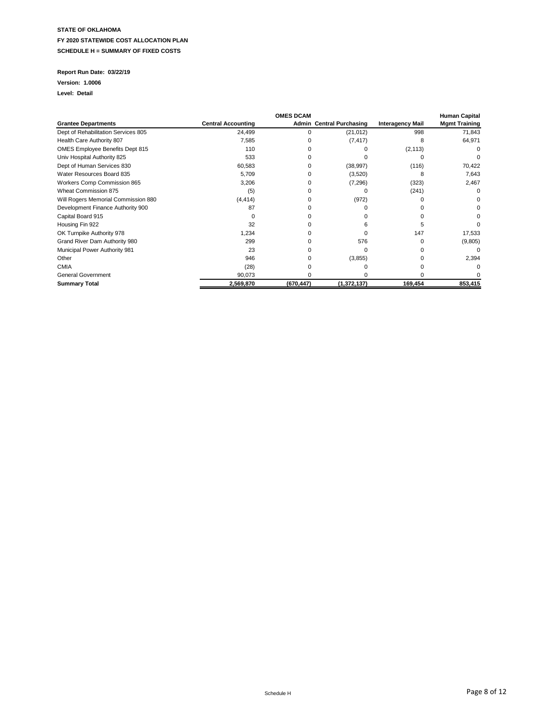### **Report Run Date: 03/22/19**

#### **Version: 1.0006**

|                                     |                           | <b>OMES DCAM</b> |                                 |                         | <b>Human Capital</b> |
|-------------------------------------|---------------------------|------------------|---------------------------------|-------------------------|----------------------|
| <b>Grantee Departments</b>          | <b>Central Accounting</b> |                  | <b>Admin Central Purchasing</b> | <b>Interagency Mail</b> | <b>Mgmt Training</b> |
| Dept of Rehabilitation Services 805 | 24,499                    | 0                | (21, 012)                       | 998                     | 71,843               |
| Health Care Authority 807           | 7,585                     |                  | (7, 417)                        | 8                       | 64,971               |
| OMES Employee Benefits Dept 815     | 110                       |                  |                                 | (2, 113)                |                      |
| Univ Hospital Authority 825         | 533                       |                  |                                 |                         |                      |
| Dept of Human Services 830          | 60,583                    |                  | (38, 997)                       | (116)                   | 70,422               |
| Water Resources Board 835           | 5,709                     |                  | (3,520)                         | я                       | 7,643                |
| Workers Comp Commission 865         | 3,206                     |                  | (7, 296)                        | (323)                   | 2,467                |
| Wheat Commission 875                | (5)                       |                  |                                 | (241)                   |                      |
| Will Rogers Memorial Commission 880 | (4, 414)                  |                  | (972)                           |                         |                      |
| Development Finance Authority 900   | 87                        |                  |                                 |                         |                      |
| Capital Board 915                   |                           |                  |                                 |                         |                      |
| Housing Fin 922                     | 32                        |                  |                                 |                         |                      |
| OK Turnpike Authority 978           | 1,234                     |                  | U                               | 147                     | 17,533               |
| Grand River Dam Authority 980       | 299                       |                  | 576                             |                         | (9,805)              |
| Municipal Power Authority 981       | 23                        |                  | U                               |                         |                      |
| Other                               | 946                       |                  | (3, 855)                        |                         | 2,394                |
| <b>CMIA</b>                         | (28)                      |                  |                                 |                         |                      |
| <b>General Government</b>           | 90,073                    |                  |                                 |                         |                      |
| <b>Summary Total</b>                | 2,569,870                 | (670, 447)       | (1,372,137)                     | 169,454                 | 853,415              |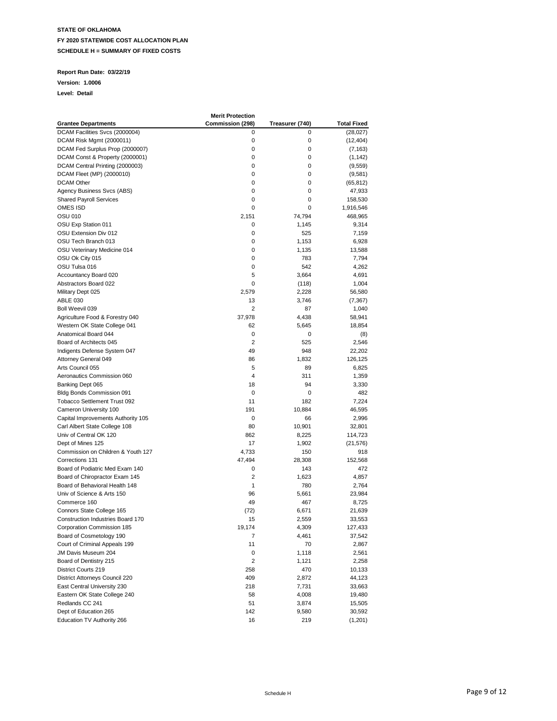### **Report Run Date: 03/22/19**

**Version: 1.0006**

|                                    | <b>Merit Protection</b> |                 |             |
|------------------------------------|-------------------------|-----------------|-------------|
| <b>Grantee Departments</b>         | Commission (298)        | Treasurer (740) | Total Fixed |
| DCAM Facilities Svcs (2000004)     | 0                       | 0               | (28, 027)   |
| DCAM Risk Mgmt (2000011)           | 0                       | 0               | (12, 404)   |
| DCAM Fed Surplus Prop (2000007)    | 0                       | 0               | (7, 163)    |
| DCAM Const & Property (2000001)    | 0                       | 0               | (1, 142)    |
| DCAM Central Printing (2000003)    | 0                       | 0               | (9, 559)    |
| DCAM Fleet (MP) (2000010)          | 0                       | 0               | (9,581)     |
| <b>DCAM Other</b>                  | 0                       | 0               | (65, 812)   |
| Agency Business Svcs (ABS)         | 0                       | 0               | 47,933      |
| <b>Shared Payroll Services</b>     | 0                       | 0               | 158,530     |
| OMES ISD                           | 0                       | 0               | 1,916,546   |
| <b>OSU 010</b>                     | 2,151                   | 74,794          | 468,965     |
| OSU Exp Station 011                | 0                       | 1,145           | 9,314       |
| OSU Extension Div 012              | 0                       | 525             | 7,159       |
| OSU Tech Branch 013                | 0                       |                 |             |
|                                    | 0                       | 1,153           | 6,928       |
| OSU Veterinary Medicine 014        |                         | 1,135           | 13,588      |
| OSU Ok City 015                    | 0                       | 783             | 7,794       |
| OSU Tulsa 016                      | 0                       | 542             | 4,262       |
| Accountancy Board 020              | 5                       | 3,664           | 4,691       |
| Abstractors Board 022              | 0                       | (118)           | 1,004       |
| Military Dept 025                  | 2,579                   | 2,228           | 56,580      |
| <b>ABLE 030</b>                    | 13                      | 3,746           | (7, 367)    |
| Boll Weevil 039                    | 2                       | 87              | 1,040       |
| Agriculture Food & Forestry 040    | 37,978                  | 4,438           | 58,941      |
| Western OK State College 041       | 62                      | 5,645           | 18,854      |
| Anatomical Board 044               | 0                       | 0               | (8)         |
| Board of Architects 045            | 2                       | 525             | 2,546       |
| Indigents Defense System 047       | 49                      | 948             | 22,202      |
| Attorney General 049               | 86                      | 1,832           | 126,125     |
| Arts Council 055                   | 5                       | 89              | 6,825       |
| Aeronautics Commission 060         | 4                       | 311             | 1,359       |
| Banking Dept 065                   | 18                      | 94              | 3,330       |
| Bldg Bonds Commission 091          | 0                       | 0               | 482         |
| Tobacco Settlement Trust 092       | 11                      | 182             | 7,224       |
| Cameron University 100             | 191                     | 10,884          | 46,595      |
| Capital Improvements Authority 105 | 0                       | 66              | 2,996       |
| Carl Albert State College 108      | 80                      | 10,901          | 32,801      |
| Univ of Central OK 120             | 862                     | 8,225           | 114,723     |
| Dept of Mines 125                  | 17                      | 1,902           | (21, 576)   |
| Commission on Children & Youth 127 | 4,733                   | 150             | 918         |
| Corrections 131                    | 47,494                  | 28,308          | 152,568     |
| Board of Podiatric Med Exam 140    | 0                       | 143             | 472         |
| Board of Chiropractor Exam 145     | $\overline{2}$          | 1,623           | 4,857       |
| Board of Behavioral Health 148     | 1                       | 780             | 2,764       |
| Univ of Science & Arts 150         | 96                      | 5,661           |             |
| Commerce 160                       |                         |                 | 23,984      |
|                                    | 49                      | 467             | 8,725       |
| Connors State College 165          | (72)                    | 6,671           | 21,639      |
| Construction Industries Board 170  | 15                      | 2,559           | 33,553      |
| Corporation Commission 185         | 19,174                  | 4,309           | 127,433     |
| Board of Cosmetology 190           | 7                       | 4,461           | 37,542      |
| Court of Criminal Appeals 199      | 11                      | 70              | 2,867       |
| JM Davis Museum 204                | 0                       | 1,118           | 2,561       |
| Board of Dentistry 215             | 2                       | 1,121           | 2,258       |
| District Courts 219                | 258                     | 470             | 10,133      |
| District Attorneys Council 220     | 409                     | 2,872           | 44,123      |
| East Central University 230        | 218                     | 7,731           | 33,663      |
| Eastern OK State College 240       | 58                      | 4,008           | 19,480      |
| Redlands CC 241                    | 51                      | 3,874           | 15,505      |
| Dept of Education 265              | 142                     | 9,580           | 30,592      |
| Education TV Authority 266         | 16                      | 219             | (1,201)     |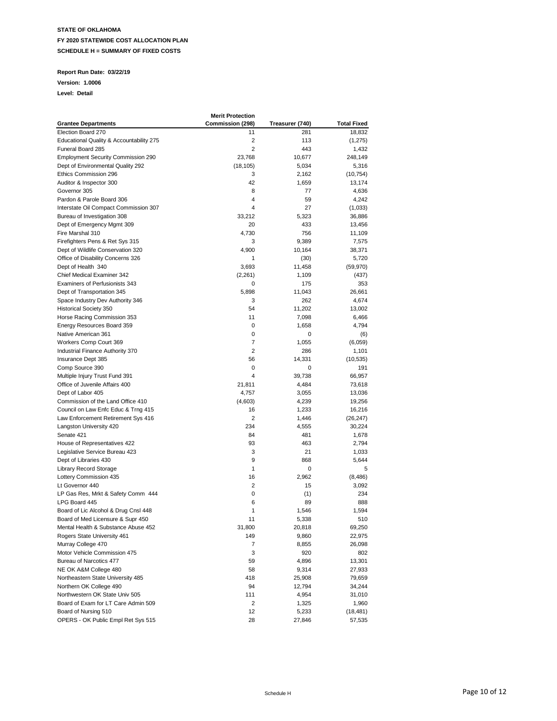### **Report Run Date: 03/22/19**

**Version: 1.0006**

|                                                                      | <b>Merit Protection</b> |                 |                    |
|----------------------------------------------------------------------|-------------------------|-----------------|--------------------|
| <b>Grantee Departments</b>                                           | Commission (298)        | Treasurer (740) | <b>Total Fixed</b> |
| Election Board 270                                                   | 11                      | 281             | 18,832             |
| Educational Quality & Accountability 275                             | 2                       | 113             | (1, 275)           |
| Funeral Board 285                                                    | $\overline{2}$          | 443             | 1,432              |
| <b>Employment Security Commission 290</b>                            | 23,768                  | 10,677          | 248,149            |
| Dept of Environmental Quality 292                                    | (18, 105)               | 5,034           | 5,316              |
| Ethics Commission 296                                                | 3                       | 2,162           | (10, 754)          |
| Auditor & Inspector 300                                              | 42                      | 1,659           | 13,174             |
| Governor 305                                                         | 8                       | 77              | 4,636              |
| Pardon & Parole Board 306                                            | 4                       | 59              | 4,242              |
| Interstate Oil Compact Commission 307                                | 4                       | 27              | (1,033)            |
| Bureau of Investigation 308                                          | 33,212                  | 5,323           | 36,886             |
| Dept of Emergency Mgmt 309                                           | 20                      | 433             | 13,456             |
| Fire Marshal 310                                                     | 4,730                   | 756             | 11,109             |
|                                                                      | 3                       | 9,389           |                    |
| Firefighters Pens & Ret Sys 315<br>Dept of Wildlife Conservation 320 | 4,900                   | 10,164          | 7,575              |
|                                                                      | 1                       |                 | 38,371             |
| Office of Disability Concerns 326                                    |                         | (30)            | 5,720              |
| Dept of Health 340                                                   | 3,693                   | 11,458          | (59, 970)          |
| <b>Chief Medical Examiner 342</b>                                    | (2,261)                 | 1,109           | (437)              |
| Examiners of Perfusionists 343                                       | 0                       | 175             | 353                |
| Dept of Transportation 345                                           | 5,898                   | 11,043          | 26,661             |
| Space Industry Dev Authority 346                                     | 3                       | 262             | 4,674              |
| <b>Historical Society 350</b>                                        | 54                      | 11,202          | 13,002             |
| Horse Racing Commission 353                                          | 11                      | 7,098           | 6,466              |
| Energy Resources Board 359                                           | 0                       | 1,658           | 4,794              |
| Native American 361                                                  | 0                       | 0               | (6)                |
| Workers Comp Court 369                                               | $\overline{7}$          | 1,055           | (6,059)            |
| Industrial Finance Authority 370                                     | 2                       | 286             | 1,101              |
| Insurance Dept 385                                                   | 56                      | 14,331          | (10, 535)          |
| Comp Source 390                                                      | 0                       | 0               | 191                |
| Multiple Injury Trust Fund 391                                       | 4                       | 39,738          | 66,957             |
| Office of Juvenile Affairs 400                                       | 21,811                  | 4,484           | 73,618             |
| Dept of Labor 405                                                    | 4,757                   | 3,055           | 13,036             |
| Commission of the Land Office 410                                    | (4,603)                 | 4,239           | 19,256             |
| Council on Law Enfc Educ & Trng 415                                  | 16                      | 1,233           | 16,216             |
| Law Enforcement Retirement Sys 416                                   | 2                       | 1,446           | (26, 247)          |
| Langston University 420                                              | 234                     | 4,555           | 30,224             |
| Senate 421                                                           | 84                      | 481             | 1,678              |
| House of Representatives 422                                         | 93                      | 463             | 2,794              |
| Legislative Service Bureau 423                                       | 3                       | 21              | 1,033              |
| Dept of Libraries 430                                                | 9                       | 868             | 5,644              |
| <b>Library Record Storage</b>                                        | 1                       | 0               | 5                  |
| Lottery Commission 435                                               | 16                      | 2,962           | (8, 486)           |
| Lt Governor 440                                                      | 2                       | 15              | 3,092              |
| LP Gas Res, Mrkt & Safety Comm 444                                   | 0                       | (1)             | 234                |
| LPG Board 445                                                        | 6                       | 89              | 888                |
| Board of Lic Alcohol & Drug Cnsl 448                                 | 1                       | 1,546           | 1,594              |
| Board of Med Licensure & Supr 450                                    | 11                      | 5.338           | 510                |
| Mental Health & Substance Abuse 452                                  | 31,800                  | 20,818          | 69,250             |
| Rogers State University 461                                          | 149                     | 9,860           | 22,975             |
| Murray College 470                                                   | 7                       | 8,855           | 26,098             |
| Motor Vehicle Commission 475                                         | 3                       | 920             | 802                |
| Bureau of Narcotics 477                                              | 59                      | 4,896           | 13,301             |
| NE OK A&M College 480                                                | 58                      | 9,314           | 27,933             |
| Northeastern State University 485                                    | 418                     | 25,908          | 79,659             |
| Northern OK College 490                                              | 94                      | 12,794          | 34,244             |
| Northwestern OK State Univ 505                                       | 111                     | 4,954           | 31,010             |
| Board of Exam for LT Care Admin 509                                  | 2                       | 1,325           | 1,960              |
| Board of Nursing 510                                                 | 12                      | 5,233           | (18,481)           |
| OPERS - OK Public Empl Ret Sys 515                                   | 28                      | 27,846          | 57,535             |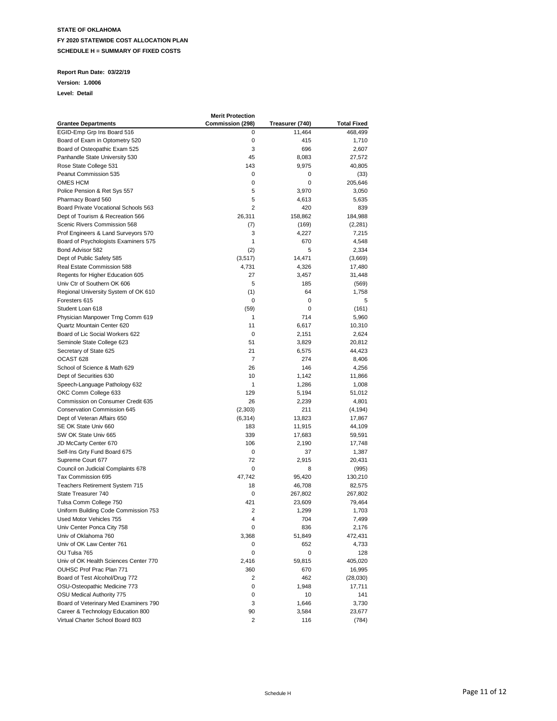### **Report Run Date: 03/22/19**

**Version: 1.0006**

|                                       | <b>Merit Protection</b> |                 |                    |
|---------------------------------------|-------------------------|-----------------|--------------------|
| <b>Grantee Departments</b>            | Commission (298)        | Treasurer (740) | <b>Total Fixed</b> |
| EGID-Emp Grp Ins Board 516            | 0                       | 11,464          | 468,499            |
| Board of Exam in Optometry 520        | 0                       | 415             | 1,710              |
| Board of Osteopathic Exam 525         | 3                       | 696             | 2,607              |
| Panhandle State University 530        | 45                      | 8,083           | 27,572             |
| Rose State College 531                | 143                     | 9,975           | 40,805             |
| Peanut Commission 535                 | 0                       | 0               | (33)               |
| OMES HCM                              | 0                       | 0               | 205,646            |
| Police Pension & Ret Sys 557          | 5                       | 3,970           | 3,050              |
| Pharmacy Board 560                    | 5                       | 4,613           | 5,635              |
| Board Private Vocational Schools 563  | $\overline{2}$          | 420             | 839                |
| Dept of Tourism & Recreation 566      | 26,311                  | 158,862         | 184,988            |
| Scenic Rivers Commission 568          | (7)                     | (169)           | (2, 281)           |
| Prof Engineers & Land Surveyors 570   | 3                       | 4,227           | 7,215              |
| Board of Psychologists Examiners 575  | 1                       | 670             |                    |
| Bond Advisor 582                      | (2)                     | 5               | 4,548              |
|                                       |                         |                 | 2,334              |
| Dept of Public Safety 585             | (3,517)                 | 14,471          | (3,669)            |
| Real Estate Commission 588            | 4,731                   | 4,326           | 17,480             |
| Regents for Higher Education 605      | 27                      | 3,457           | 31,448             |
| Univ Ctr of Southern OK 606           | 5                       | 185             | (569)              |
| Regional University System of OK 610  | (1)                     | 64              | 1,758              |
| Foresters 615                         | 0                       | 0               | 5                  |
| Student Loan 618                      | (59)                    | 0               | (161)              |
| Physician Manpower Trng Comm 619      | 1                       | 714             | 5,960              |
| Quartz Mountain Center 620            | 11                      | 6,617           | 10,310             |
| Board of Lic Social Workers 622       | 0                       | 2,151           | 2,624              |
| Seminole State College 623            | 51                      | 3,829           | 20,812             |
| Secretary of State 625                | 21                      | 6,575           | 44,423             |
| OCAST <sub>628</sub>                  | 7                       | 274             | 8,406              |
| School of Science & Math 629          | 26                      | 146             | 4,256              |
| Dept of Securities 630                | 10                      | 1,142           | 11,866             |
| Speech-Language Pathology 632         | 1                       | 1,286           | 1,008              |
| OKC Comm College 633                  | 129                     | 5,194           | 51,012             |
| Commission on Consumer Credit 635     | 26                      | 2,239           | 4,801              |
| Conservation Commission 645           | (2,303)                 | 211             | (4, 194)           |
| Dept of Veteran Affairs 650           | (6, 314)                | 13,823          | 17,867             |
| SE OK State Univ 660                  | 183                     | 11,915          | 44,109             |
| SW OK State Univ 665                  | 339                     | 17,683          | 59,591             |
| JD McCarty Center 670                 | 106                     | 2,190           | 17,748             |
| Self-Ins Grty Fund Board 675          | 0                       | 37              | 1,387              |
| Supreme Court 677                     | 72                      | 2,915           | 20,431             |
| Council on Judicial Complaints 678    | 0                       | 8               | (995)              |
| Tax Commission 695                    | 47,742                  | 95,420          | 130,210            |
| Teachers Retirement System 715        | 18                      | 46,708          |                    |
| State Treasurer 740                   |                         | 267,802         | 82,575             |
|                                       | 0                       |                 | 267,802            |
| Tulsa Comm College 750                | 421                     | 23,609          | 79,464             |
| Uniform Building Code Commission 753  | 2                       | 1,299           | 1,703              |
| Used Motor Vehicles 755               | 4                       | 704             | 7,499              |
| Univ Center Ponca City 758            | 0                       | 836             | 2,176              |
| Univ of Oklahoma 760                  | 3,368                   | 51,849          | 472,431            |
| Univ of OK Law Center 761             | 0                       | 652             | 4,733              |
| OU Tulsa 765                          | 0                       | 0               | 128                |
| Univ of OK Health Sciences Center 770 | 2,416                   | 59,815          | 405,020            |
| OUHSC Prof Prac Plan 771              | 360                     | 670             | 16,995             |
| Board of Test Alcohol/Drug 772        | 2                       | 462             | (28,030)           |
| OSU-Osteopathic Medicine 773          | 0                       | 1,948           | 17,711             |
| OSU Medical Authority 775             | 0                       | 10              | 141                |
| Board of Veterinary Med Examiners 790 | 3                       | 1,646           | 3,730              |
| Career & Technology Education 800     | 90                      | 3,584           | 23,677             |
| Virtual Charter School Board 803      | 2                       | 116             | (784)              |
|                                       |                         |                 |                    |